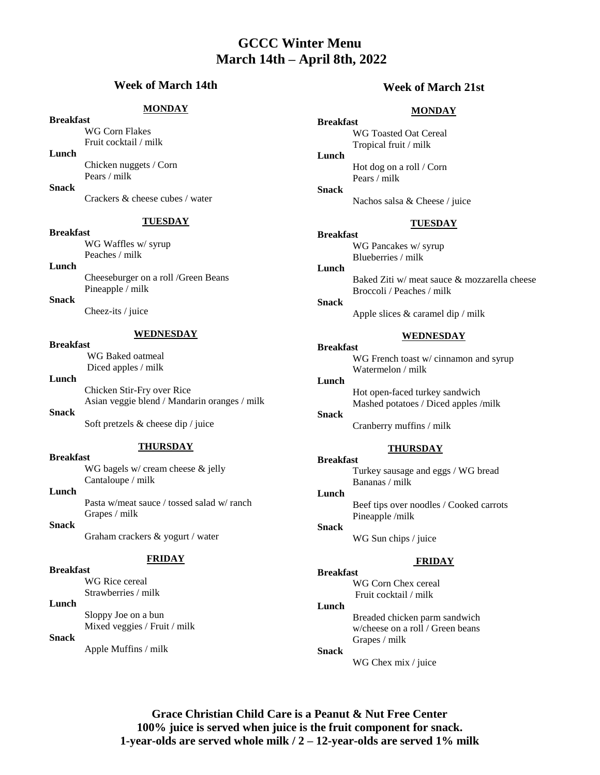# **GCCC Winter Menu March 14th – April 8th, 2022**

# **Week of March 14th**

## **MONDAY**

# **Breakfast**

WG Corn Flakes Fruit cocktail / milk

**Lunch**

Chicken nuggets / Corn Pears / milk

**Snack**

Crackers & cheese cubes / water

**TUESDAY**

### **Breakfast**

WG Waffles w/ syrup Peaches / milk

# **Lunch**

Cheeseburger on a roll /Green Beans Pineapple / milk

# **Snack**

Cheez-its / juice

# **WEDNESDAY**

# **Breakfast**

WG Baked oatmeal Diced apples / milk

# **Lunch**

Chicken Stir-Fry over Rice Asian veggie blend / Mandarin oranges / milk **Snack**

Soft pretzels & cheese dip / juice

### **THURSDAY**

**Breakfast** WG bagels w/ cream cheese & jelly Cantaloupe / milk

#### **Lunch**

Pasta w/meat sauce / tossed salad w/ ranch Grapes / milk

**Snack**

Graham crackers & yogurt / water

# **FRIDAY**

# **Breakfast**

WG Rice cereal Strawberries / milk

# **Lunch**

Sloppy Joe on a bun Mixed veggies / Fruit / milk

## **Snack**

Apple Muffins / milk

# **Week of March 21st**

# **MONDAY**

**Breakfast** WG Toasted Oat Cereal Tropical fruit / milk

**Lunch** Hot dog on a roll / Corn Pears / milk

Nachos salsa & Cheese / juice

#### **TUESDAY**

**Breakfast** WG Pancakes w/ syrup Blueberries / milk

**Lunch**

**Snack**

Baked Ziti w/ meat sauce & mozzarella cheese Broccoli / Peaches / milk

#### **Snack**

**Breakfast**

**Lunch**

Apple slices & caramel dip / milk

### **WEDNESDAY**

WG French toast w/ cinnamon and syrup Watermelon / milk

Hot open-faced turkey sandwich Mashed potatoes / Diced apples /milk

**Snack** Cranberry muffins / milk

#### **THURSDAY**

**Breakfast** Turkey sausage and eggs / WG bread Bananas / milk

**Lunch** Beef tips over noodles / Cooked carrots

Pineapple /milk **Snack**

WG Sun chips / juice

# **FRIDAY**

**Breakfast** WG Corn Chex cereal Fruit cocktail / milk

### **Lunch**

Breaded chicken parm sandwich w/cheese on a roll / Green beans Grapes / milk

#### **Snack**

WG Chex mix / juice

**Grace Christian Child Care is a Peanut & Nut Free Center 100% juice is served when juice is the fruit component for snack. 1-year-olds are served whole milk / 2 – 12-year-olds are served 1% milk**